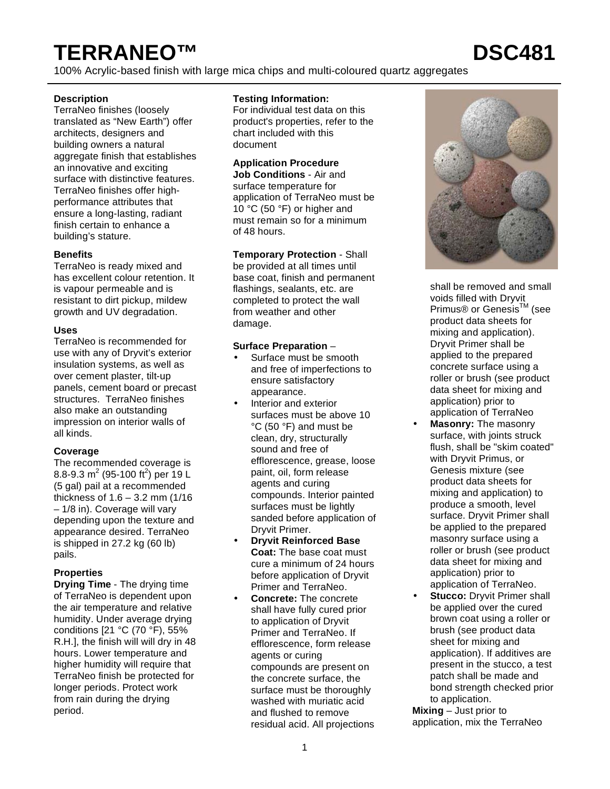# **TERRANEO™ DSC481**

100% Acrylic-based finish with large mica chips and multi-coloured quartz aggregates

#### **Description**

TerraNeo finishes (loosely translated as "New Earth") offer architects, designers and building owners a natural aggregate finish that establishes an innovative and exciting surface with distinctive features. TerraNeo finishes offer highperformance attributes that ensure a long-lasting, radiant finish certain to enhance a building's stature.

#### **Benefits**

TerraNeo is ready mixed and has excellent colour retention. It is vapour permeable and is resistant to dirt pickup, mildew growth and UV degradation.

#### **Uses**

TerraNeo is recommended for use with any of Dryvit's exterior insulation systems, as well as over cement plaster, tilt-up panels, cement board or precast structures. TerraNeo finishes also make an outstanding impression on interior walls of all kinds.

# **Coverage**

The recommended coverage is 8.8-9.3 m $^2$  (95-100 ft $^2$ ) per 19 L (5 gal) pail at a recommended thickness of 1.6 – 3.2 mm (1/16 – 1/8 in). Coverage will vary depending upon the texture and appearance desired. TerraNeo is shipped in 27.2 kg (60 lb) pails.

# **Properties**

**Drying Time** - The drying time of TerraNeo is dependent upon the air temperature and relative humidity. Under average drying conditions [21 °C (70 °F), 55% R.H.], the finish will will dry in 48 hours. Lower temperature and higher humidity will require that TerraNeo finish be protected for longer periods. Protect work from rain during the drying period.

#### **Testing Information:**

For individual test data on this product's properties, refer to the chart included with this document

### **Application Procedure**

**Job Conditions** - Air and surface temperature for application of TerraNeo must be 10 °C (50 °F) or higher and must remain so for a minimum of 48 hours.

**Temporary Protection** - Shall be provided at all times until base coat, finish and permanent

flashings, sealants, etc. are completed to protect the wall from weather and other damage.

#### **Surface Preparation** –

- Surface must be smooth and free of imperfections to ensure satisfactory appearance.
- Interior and exterior surfaces must be above 10 °C (50 °F) and must be clean, dry, structurally sound and free of efflorescence, grease, loose paint, oil, form release agents and curing compounds. Interior painted surfaces must be lightly sanded before application of Dryvit Primer.
- **Dryvit Reinforced Base Coat:** The base coat must cure a minimum of 24 hours before application of Dryvit Primer and TerraNeo.
- **Concrete:** The concrete shall have fully cured prior to application of Dryvit Primer and TerraNeo. If efflorescence, form release agents or curing compounds are present on the concrete surface, the surface must be thoroughly washed with muriatic acid and flushed to remove residual acid. All projections



shall be removed and small voids filled with Dryvit Primus® or Genesis<sup>™</sup> (see product data sheets for mixing and application). Dryvit Primer shall be applied to the prepared concrete surface using a roller or brush (see product data sheet for mixing and application) prior to application of TerraNeo

- **Masonry:** The masonry surface, with joints struck flush, shall be "skim coated" with Dryvit Primus, or Genesis mixture (see product data sheets for mixing and application) to produce a smooth, level surface. Dryvit Primer shall be applied to the prepared masonry surface using a roller or brush (see product data sheet for mixing and application) prior to application of TerraNeo.
- **Stucco: Dryvit Primer shall** be applied over the cured brown coat using a roller or brush (see product data sheet for mixing and application). If additives are present in the stucco, a test patch shall be made and bond strength checked prior to application.

**Mixing** – Just prior to application, mix the TerraNeo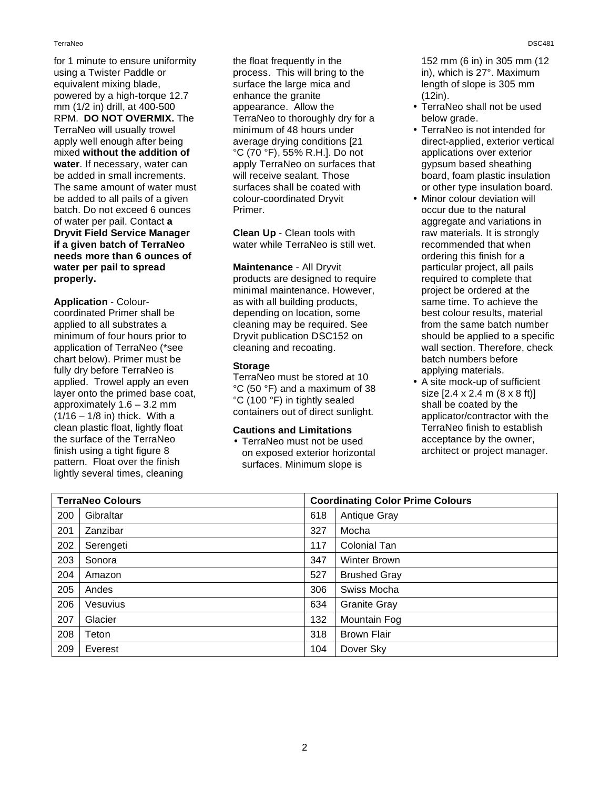#### **TerraNeo**

for 1 minute to ensure uniformity using a Twister Paddle or equivalent mixing blade, powered by a high-torque 12.7 mm (1/2 in) drill, at 400-500 RPM. **DO NOT OVERMIX.** The TerraNeo will usually trowel apply well enough after being mixed **without the addition of water**. If necessary, water can be added in small increments. The same amount of water must be added to all pails of a given batch. Do not exceed 6 ounces of water per pail. Contact **a Dryvit Field Service Manager if a given batch of TerraNeo needs more than 6 ounces of water per pail to spread properly.**

**Application** - Colourcoordinated Primer shall be applied to all substrates a minimum of four hours prior to application of TerraNeo (\*see chart below). Primer must be fully dry before TerraNeo is applied. Trowel apply an even layer onto the primed base coat, approximately 1.6 – 3.2 mm  $(1/16 - 1/8)$  in) thick. With a clean plastic float, lightly float the surface of the TerraNeo finish using a tight figure 8 pattern. Float over the finish lightly several times, cleaning

the float frequently in the process. This will bring to the surface the large mica and enhance the granite appearance. Allow the TerraNeo to thoroughly dry for a minimum of 48 hours under average drying conditions [21 °C (70 °F), 55% R.H.]. Do not apply TerraNeo on surfaces that will receive sealant. Those surfaces shall be coated with colour-coordinated Dryvit Primer.

**Clean Up** - Clean tools with water while TerraNeo is still wet.

**Maintenance** - All Dryvit products are designed to require minimal maintenance. However, as with all building products, depending on location, some cleaning may be required. See Dryvit publication DSC152 on cleaning and recoating.

#### **Storage**

TerraNeo must be stored at 10 °C (50 °F) and a maximum of 38 °C (100 °F) in tightly sealed containers out of direct sunlight.

#### **Cautions and Limitations**

• TerraNeo must not be used on exposed exterior horizontal surfaces. Minimum slope is

152 mm (6 in) in 305 mm (12 in), which is 27°. Maximum length of slope is 305 mm (12in).

- TerraNeo shall not be used below grade.
- TerraNeo is not intended for direct-applied, exterior vertical applications over exterior gypsum based sheathing board, foam plastic insulation or other type insulation board.
- Minor colour deviation will occur due to the natural aggregate and variations in raw materials. It is strongly recommended that when ordering this finish for a particular project, all pails required to complete that project be ordered at the same time. To achieve the best colour results, material from the same batch number should be applied to a specific wall section. Therefore, check batch numbers before applying materials.
- A site mock-up of sufficient size [2.4 x 2.4 m (8 x 8 ft)] shall be coated by the applicator/contractor with the TerraNeo finish to establish acceptance by the owner, architect or project manager.

| <b>TerraNeo Colours</b> |           | <b>Coordinating Color Prime Colours</b> |                     |
|-------------------------|-----------|-----------------------------------------|---------------------|
| 200                     | Gibraltar | 618                                     | Antique Gray        |
| 201                     | Zanzibar  | 327                                     | Mocha               |
| 202                     | Serengeti | 117                                     | Colonial Tan        |
| 203                     | Sonora    | 347                                     | Winter Brown        |
| 204                     | Amazon    | 527                                     | <b>Brushed Gray</b> |
| 205                     | Andes     | 306                                     | Swiss Mocha         |
| 206                     | Vesuvius  | 634                                     | <b>Granite Gray</b> |
| 207                     | Glacier   | 132                                     | Mountain Fog        |
| 208                     | Teton     | 318                                     | <b>Brown Flair</b>  |
| 209                     | Everest   | 104                                     | Dover Sky           |